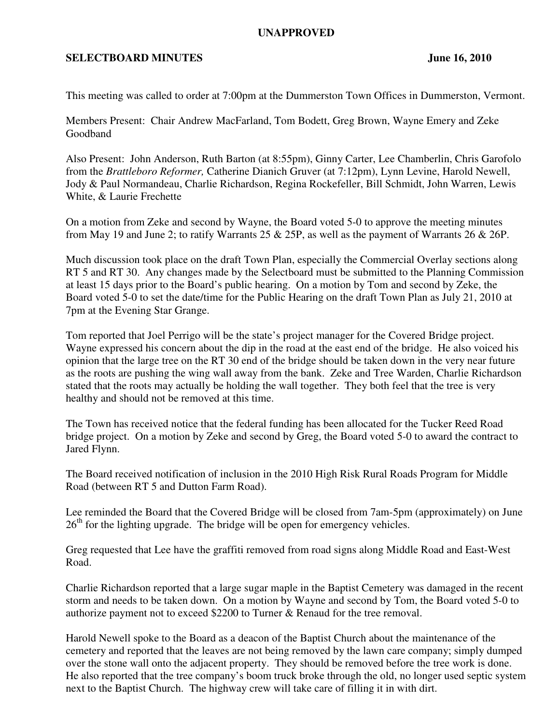## **UNAPPROVED**

## **SELECTBOARD MINUTES** June 16, 2010

This meeting was called to order at 7:00pm at the Dummerston Town Offices in Dummerston, Vermont.

Members Present: Chair Andrew MacFarland, Tom Bodett, Greg Brown, Wayne Emery and Zeke Goodband

Also Present: John Anderson, Ruth Barton (at 8:55pm), Ginny Carter, Lee Chamberlin, Chris Garofolo from the *Brattleboro Reformer,* Catherine Dianich Gruver (at 7:12pm), Lynn Levine, Harold Newell, Jody & Paul Normandeau, Charlie Richardson, Regina Rockefeller, Bill Schmidt, John Warren, Lewis White, & Laurie Frechette

On a motion from Zeke and second by Wayne, the Board voted 5-0 to approve the meeting minutes from May 19 and June 2; to ratify Warrants 25 & 25P, as well as the payment of Warrants 26 & 26P.

Much discussion took place on the draft Town Plan, especially the Commercial Overlay sections along RT 5 and RT 30. Any changes made by the Selectboard must be submitted to the Planning Commission at least 15 days prior to the Board's public hearing. On a motion by Tom and second by Zeke, the Board voted 5-0 to set the date/time for the Public Hearing on the draft Town Plan as July 21, 2010 at 7pm at the Evening Star Grange.

Tom reported that Joel Perrigo will be the state's project manager for the Covered Bridge project. Wayne expressed his concern about the dip in the road at the east end of the bridge. He also voiced his opinion that the large tree on the RT 30 end of the bridge should be taken down in the very near future as the roots are pushing the wing wall away from the bank. Zeke and Tree Warden, Charlie Richardson stated that the roots may actually be holding the wall together. They both feel that the tree is very healthy and should not be removed at this time.

The Town has received notice that the federal funding has been allocated for the Tucker Reed Road bridge project. On a motion by Zeke and second by Greg, the Board voted 5-0 to award the contract to Jared Flynn.

The Board received notification of inclusion in the 2010 High Risk Rural Roads Program for Middle Road (between RT 5 and Dutton Farm Road).

Lee reminded the Board that the Covered Bridge will be closed from 7am-5pm (approximately) on June  $26<sup>th</sup>$  for the lighting upgrade. The bridge will be open for emergency vehicles.

Greg requested that Lee have the graffiti removed from road signs along Middle Road and East-West Road.

Charlie Richardson reported that a large sugar maple in the Baptist Cemetery was damaged in the recent storm and needs to be taken down. On a motion by Wayne and second by Tom, the Board voted 5-0 to authorize payment not to exceed \$2200 to Turner & Renaud for the tree removal.

Harold Newell spoke to the Board as a deacon of the Baptist Church about the maintenance of the cemetery and reported that the leaves are not being removed by the lawn care company; simply dumped over the stone wall onto the adjacent property. They should be removed before the tree work is done. He also reported that the tree company's boom truck broke through the old, no longer used septic system next to the Baptist Church. The highway crew will take care of filling it in with dirt.